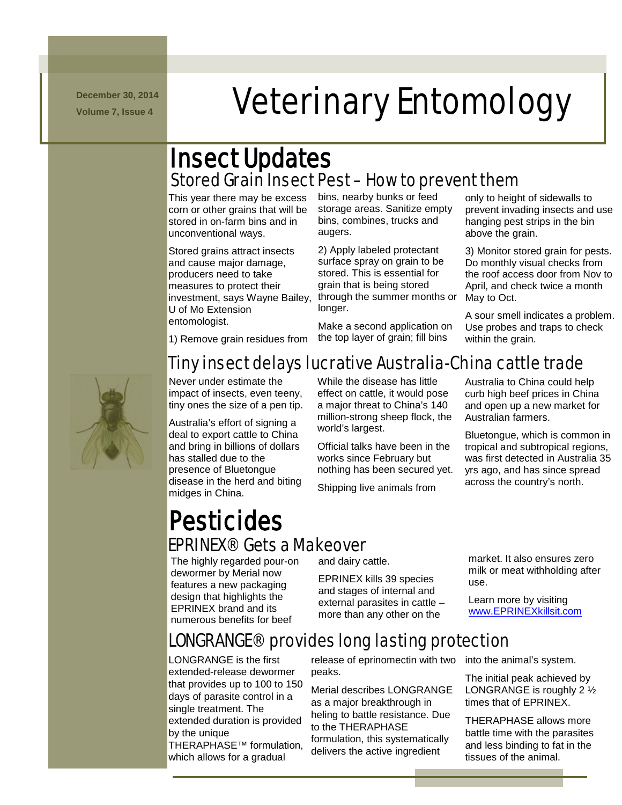**December 30, 2014**

# N m -/.///../. mmmmmmmm **December 30, 2014** Veterinary Entomology

# Insect Updates Stored Grain Insect Pest – How to prevent them

This year there may be excess corn or other grains that will be stored in on-farm bins and in unconventional ways.

Stored grains attract insects and cause major damage, producers need to take measures to protect their investment, says Wayne Bailey, through the summer months or U of Mo Extension entomologist.

bins, nearby bunks or feed storage areas. Sanitize empty bins, combines, trucks and augers.

2) Apply labeled protectant surface spray on grain to be stored. This is essential for grain that is being stored longer.

Make a second application on the top layer of grain; fill bins

only to height of sidewalls to prevent invading insects and use hanging pest strips in the bin above the grain.

3) Monitor stored grain for pests. Do monthly visual checks from the roof access door from Nov to April, and check twice a month May to Oct.

A sour smell indicates a problem. Use probes and traps to check within the grain.



1) Remove grain residues from

# Tiny insect delays lucrative Australia-China cattle trade

Never under estimate the impact of insects, even teeny, tiny ones the size of a pen tip.

Australia's effort of signing a deal to export cattle to China and bring in billions of dollars has stalled due to the presence of Bluetongue disease in the herd and biting midges in China.

While the disease has little effect on cattle, it would pose a major threat to China's 140 million-strong sheep flock, the world's largest.

Official talks have been in the works since February but nothing has been secured yet.

Shipping live animals from

Australia to China could help curb high beef prices in China and open up a new market for Australian farmers.

Bluetongue, which is common in tropical and subtropical regions, was first detected in Australia 35 yrs ago, and has since spread across the country's north.

# **Pesticides<br>EPRINEX® Gets a Makeover**

The highly regarded pour-on dewormer by Merial now features a new packaging design that highlights the EPRINEX brand and its numerous benefits for beef

and dairy cattle.

EPRINEX kills 39 species and stages of internal and external parasites in cattle – more than any other on the

# LONGRANGE® provides long lasting protection

LONGRANGE is the first extended-release dewormer that provides up to 100 to 150 days of parasite control in a single treatment. The extended duration is provided by the unique THERAPHASE™ formulation, which allows for a gradual

release of eprinomectin with two into the animal's system. peaks.

Merial describes LONGRANGE as a major breakthrough in heling to battle resistance. Due to the THERAPHASE formulation, this systematically delivers the active ingredient

market. It also ensures zero milk or meat withholding after use.

Learn more by visiting [www.EPRINEXkillsit.com](http://www.eprinexkillsit.com/)

The initial peak achieved by LONGRANGE is roughly 2 ½ times that of EPRINEX.

THERAPHASE allows more battle time with the parasites and less binding to fat in the tissues of the animal.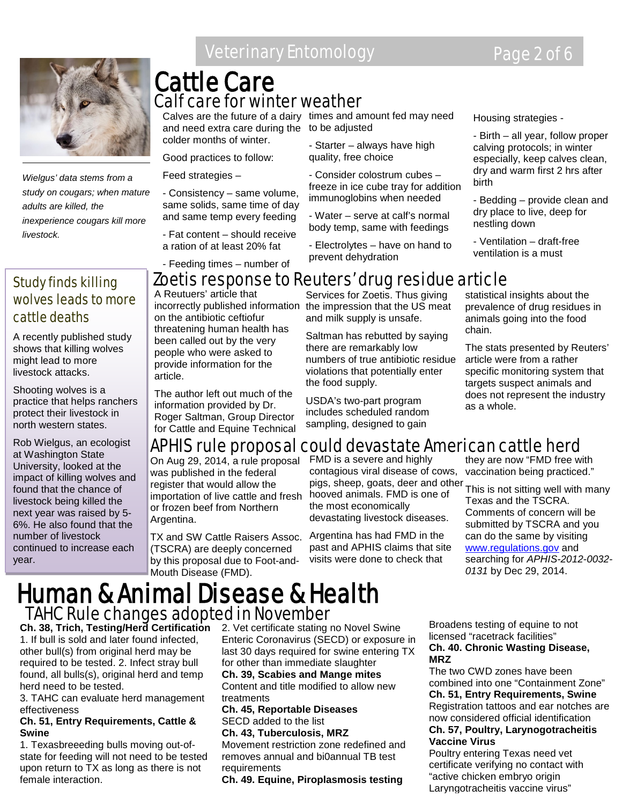

*Wielgus' data stems from a study on cougars; when mature adults are killed, the inexperience cougars kill more livestock.*

#### Study finds killing wolves leads to more cattle deaths

A recently published study shows that killing wolves might lead to more livestock attacks.

Shooting wolves is a practice that helps ranchers protect their livestock in north western states.

Rob Wielgus, an ecologist at Washington State University, looked at the impact of killing wolves and found that the chance of livestock being killed the next year was raised by 5- 6%. He also found that the number of livestock continued to increase each year.

# Veterinary Entomology **Page 2 of 6**

### Cattle Care Calf care for winter weather

and need extra care during the to be adjusted colder months of winter.

Good practices to follow:

Feed strategies –

- Consistency – same volume, same solids, same time of day and same temp every feeding

- Fat content – should receive a ration of at least 20% fat

- Feeding times – number of

Calves are the future of a dairy times and amount fed may need

- Starter – always have high quality, free choice

- Consider colostrum cubes – freeze in ice cube tray for addition immunoglobins when needed

- Water – serve at calf's normal body temp, same with feedings

- Electrolytes – have on hand to prevent dehydration

Housing strategies -

- Birth – all year, follow proper calving protocols; in winter especially, keep calves clean, dry and warm first 2 hrs after birth

- Bedding – provide clean and dry place to live, deep for nestling down

- Ventilation – draft-free ventilation is a must

# Zoetis response to Reuters' drug residue article

A Reutuers' article that incorrectly published information on the antibiotic ceftiofur threatening human health has been called out by the very people who were asked to provide information for the article.

The author left out much of the information provided by Dr. Roger Saltman, Group Director for Cattle and Equine Technical

Services for Zoetis. Thus giving the impression that the US meat and milk supply is unsafe.

Saltman has rebutted by saying there are remarkably low numbers of true antibiotic residue violations that potentially enter the food supply.

USDA's two-part program includes scheduled random sampling, designed to gain

statistical insights about the prevalence of drug residues in animals going into the food chain.

The stats presented by Reuters' article were from a rather specific monitoring system that targets suspect animals and does not represent the industry as a whole.

# APHIS rule proposal could devastate American cattle herd

On Aug 29, 2014, a rule proposal was published in the federal register that would allow the importation of live cattle and fresh or frozen beef from Northern Argentina.

TX and SW Cattle Raisers Assoc. (TSCRA) are deeply concerned by this proposal due to Foot-and-Mouth Disease (FMD).

FMD is a severe and highly contagious viral disease of cows, pigs, sheep, goats, deer and other hooved animals. FMD is one of the most economically devastating livestock diseases.

Argentina has had FMD in the past and APHIS claims that site visits were done to check that

they are now "FMD free with vaccination being practiced."

This is not sitting well with many Texas and the TSCRA. Comments of concern will be submitted by TSCRA and you can do the same by visiting [www.regulations.gov](http://www.regulations.gov/) and searching for *APHIS-2012-0032- 0131* by Dec 29, 2014.

# Human & Animal Disease & Health TAHC Rule changes adopted in November

**Ch. 38, Trich, Testing/Herd Certification** 2. Vet certificate stating no Novel Swine 1. If bull is sold and later found infected, other bull(s) from original herd may be required to be tested. 2. Infect stray bull found, all bulls(s), original herd and temp herd need to be tested.

3. TAHC can evaluate herd management effectiveness

#### **Ch. 51, Entry Requirements, Cattle & Swine**

1. Texasbreeeding bulls moving out-ofstate for feeding will not need to be tested upon return to TX as long as there is not female interaction.

Enteric Coronavirus (SECD) or exposure in last 30 days required for swine entering TX for other than immediate slaughter

**Ch. 39, Scabies and Mange mites** Content and title modified to allow new treatments

#### **Ch. 45, Reportable Diseases** SECD added to the list

**Ch. 43, Tuberculosis, MRZ**

Movement restriction zone redefined and removes annual and bi0annual TB test requirements

**Ch. 49. Equine, Piroplasmosis testing** 

Broadens testing of equine to not licensed "racetrack facilities" **Ch. 40. Chronic Wasting Disease, MRZ**

The two CWD zones have been combined into one "Containment Zone" **Ch. 51, Entry Requirements, Swine** Registration tattoos and ear notches are now considered official identification **Ch. 57, Poultry, Larynogotracheitis Vaccine Virus**

Poultry entering Texas need vet certificate verifying no contact with "active chicken embryo origin Laryngotracheitis vaccine virus"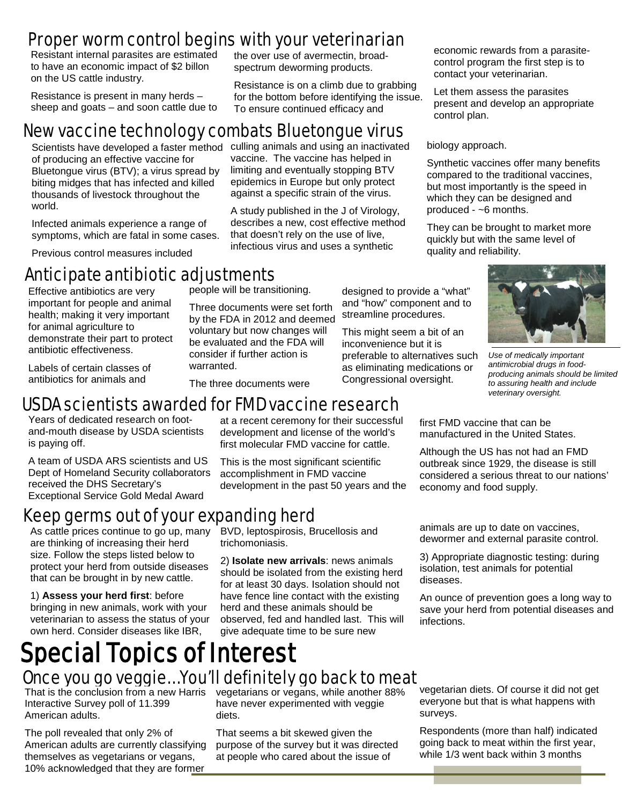# Proper worm control begins with your veterinarian

Resistant internal parasites are estimated to have an economic impact of \$2 billon on the US cattle industry.

Resistance is present in many herds – sheep and goats – and soon cattle due to

# New vaccine technology combats Bluetongue virus

Scientists have developed a faster method culling animals and using an inactivated of producing an effective vaccine for Bluetongue virus (BTV); a virus spread by biting midges that has infected and killed thousands of livestock throughout the world.

Infected animals experience a range of symptoms, which are fatal in some cases.

Previous control measures included

# Anticipate antibiotic adjustments

Effective antibiotics are very important for people and animal health; making it very important for animal agriculture to demonstrate their part to protect antibiotic effectiveness.

Labels of certain classes of antibiotics for animals and

people will be transitioning.

Three documents were set forth by the FDA in 2012 and deemed voluntary but now changes will be evaluated and the FDA will consider if further action is warranted.

designed to provide a "what" and "how" component and to streamline procedures.

This might seem a bit of an inconvenience but it is preferable to alternatives such as eliminating medications or Congressional oversight.



Let them assess the parasites present and develop an appropriate control plan.

biology approach.

Synthetic vaccines offer many benefits compared to the traditional vaccines, but most importantly is the speed in which they can be designed and produced - ~6 months.

They can be brought to market more quickly but with the same level of quality and reliability.



*Use of medically important antimicrobial drugs in foodproducing animals should be limited to assuring health and include veterinary oversight.*

first FMD vaccine that can be manufactured in the United States.

Although the US has not had an FMD outbreak since 1929, the disease is still considered a serious threat to our nations' economy and food supply.

The three documents were

#### at a recent ceremony for their successful USDA scientists awarded for FMD vaccine research

Years of dedicated research on footand-mouth disease by USDA scientists is paying off.

A team of USDA ARS scientists and US Dept of Homeland Security collaborators received the DHS Secretary's Exceptional Service Gold Medal Award

# Keep germs out of your expanding herd

As cattle prices continue to go up, many are thinking of increasing their herd size. Follow the steps listed below to protect your herd from outside diseases that can be brought in by new cattle.

1) **Assess your herd first**: before bringing in new animals, work with your veterinarian to assess the status of your own herd. Consider diseases like IBR,

first molecular FMD vaccine for cattle. This is the most significant scientific

development and license of the world's

the over use of avermectin, broadspectrum deworming products.

To ensure continued efficacy and

vaccine. The vaccine has helped in limiting and eventually stopping BTV epidemics in Europe but only protect against a specific strain of the virus. A study published in the J of Virology, describes a new, cost effective method that doesn't rely on the use of live, infectious virus and uses a synthetic

Resistance is on a climb due to grabbing for the bottom before identifying the issue.

accomplishment in FMD vaccine development in the past 50 years and the

BVD, leptospirosis, Brucellosis and trichomoniasis.

2) **Isolate new arrivals**: news animals should be isolated from the existing herd for at least 30 days. Isolation should not have fence line contact with the existing herd and these animals should be observed, fed and handled last. This will give adequate time to be sure new

animals are up to date on vaccines, dewormer and external parasite control.

3) Appropriate diagnostic testing: during isolation, test animals for potential diseases.

An ounce of prevention goes a long way to save your herd from potential diseases and infections.

# Special Topics of Interest Once you go veggie… You'll definitely go back to meat

Interactive Survey poll of 11.399 American adults.

The poll revealed that only 2% of American adults are currently classifying themselves as vegetarians or vegans, 10% acknowledged that they are former

That is the conclusion from a new Harris vegetarians or vegans, while another 88% have never experimented with veggie diets.

> That seems a bit skewed given the purpose of the survey but it was directed at people who cared about the issue of

vegetarian diets. Of course it did not get everyone but that is what happens with surveys.

Respondents (more than half) indicated going back to meat within the first year, while 1/3 went back within 3 months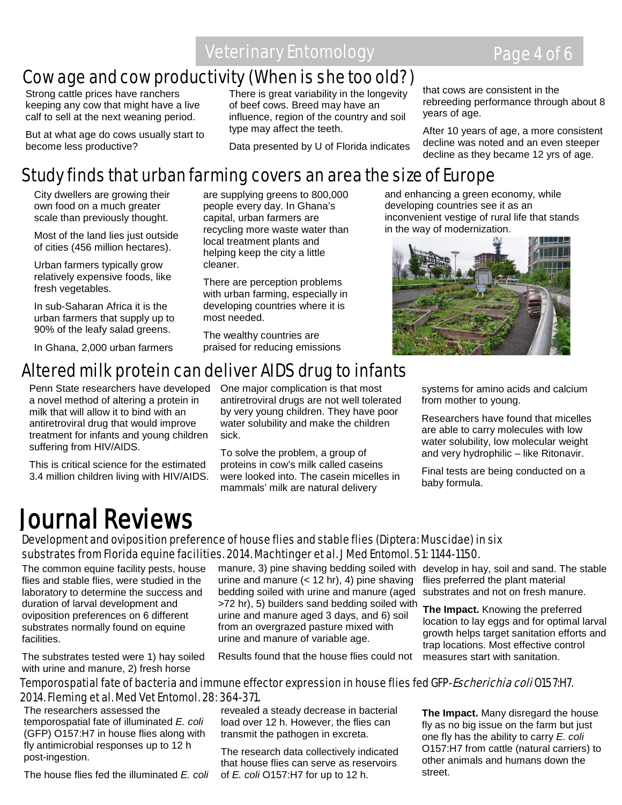Veterinary Entomology **Page 4 of 6** 

## Cow age and cow productivity (When is she too old?)

Strong cattle prices have ranchers keeping any cow that might have a live calf to sell at the next weaning period.

 become less productive? But at what age do cows usually start to

There is great variability in the longevity of beef cows. Breed may have an influence, region of the country and soil type may affect the teeth.

Data presented by U of Florida indicates

that cows are consistent in the rebreeding performance through about 8 years of age.

After 10 years of age, a more consistent decline was noted and an even steeper decline as they became 12 yrs of age.

### Study finds that urban farming covers an area the size of Europe

are supplying greens to 800,000 people every day. In Ghana's capital, urban farmers are recycling more waste water than local treatment plants and helping keep the city a little

There are perception problems with urban farming, especially in developing countries where it is

The wealthy countries are praised for reducing emissions

City dwellers are growing their own food on a much greater scale than previously thought.

Most of the land lies just outside of cities (456 million hectares).

Urban farmers typically grow relatively expensive foods, like fresh vegetables.

In sub-Saharan Africa it is the urban farmers that supply up to 90% of the leafy salad greens.

In Ghana, 2,000 urban farmers

# Altered milk protein can deliver AIDS drug to infants

cleaner.

most needed.

Penn State researchers have developed a novel method of altering a protein in milk that will allow it to bind with an antiretroviral drug that would improve treatment for infants and young children suffering from HIV/AIDS.

This is critical science for the estimated 3.4 million children living with HIV/AIDS. One major complication is that most antiretroviral drugs are not well tolerated by very young children. They have poor water solubility and make the children sick.

To solve the problem, a group of proteins in cow's milk called caseins were looked into. The casein micelles in mammals' milk are natural delivery

and enhancing a green economy, while developing countries see it as an inconvenient vestige of rural life that stands in the way of modernization.



systems for amino acids and calcium from mother to young.

Researchers have found that micelles are able to carry molecules with low water solubility, low molecular weight and very hydrophilic – like Ritonavir.

Final tests are being conducted on a baby formula.

# Journal Reviews

#### Development and oviposition preference of house flies and stable flies (Diptera: Muscidae) in six substrates from Florida equine facilities. 2014. Machtinger et al. J Med Entomol. 51: 1144-1150.

The common equine facility pests, house flies and stable flies, were studied in the laboratory to determine the success and duration of larval development and oviposition preferences on 6 different substrates normally found on equine facilities.

The substrates tested were 1) hay soiled with urine and manure, 2) fresh horse

manure, 3) pine shaving bedding soiled with develop in hay, soil and sand. The stable urine and manure (< 12 hr), 4) pine shaving bedding soiled with urine and manure (aged >72 hr), 5) builders sand bedding soiled with urine and manure aged 3 days, and 6) soil from an overgrazed pasture mixed with urine and manure of variable age.

Results found that the house flies could not

flies preferred the plant material substrates and not on fresh manure.

**The Impact.** Knowing the preferred location to lay eggs and for optimal larval growth helps target sanitation efforts and trap locations. Most effective control measures start with sanitation.

#### Temporospatial fate of bacteria and immune effector expression in house flies fed GFP-*Escherichia coli* 0157:H7. 2014. Fleming et al. Med Vet Entomol. 28: 364-371.

The researchers assessed the temporospatial fate of illuminated *E. coli* (GFP) O157:H7 in house flies along with fly antimicrobial responses up to 12 h post-ingestion.

The house flies fed the illuminated *E. coli*

revealed a steady decrease in bacterial load over 12 h. However, the flies can transmit the pathogen in excreta.

The research data collectively indicated that house flies can serve as reservoirs of *E. coli* O157:H7 for up to 12 h.

**The Impact.** Many disregard the house fly as no big issue on the farm but just one fly has the ability to carry *E. coli* O157:H7 from cattle (natural carriers) to other animals and humans down the street.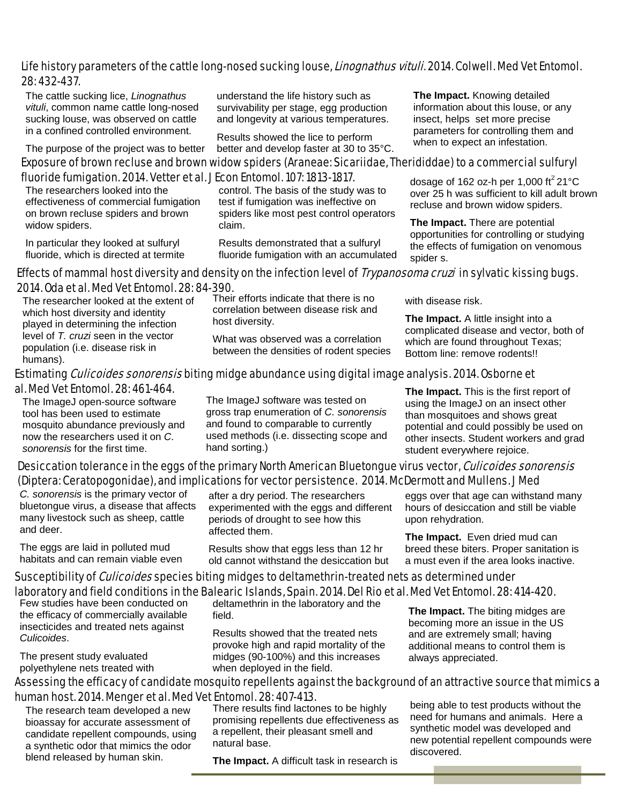#### Life history parameters of the cattle long-nosed sucking louse, *Linognathus vituli*. 2014. Colwell. Med Vet Entomol. 28: 432-437.

The cattle sucking lice, *Linognathus vituli*, common name cattle long-nosed sucking louse, was observed on cattle in a confined controlled environment.

The purpose of the project was to better

understand the life history such as survivability per stage, egg production and longevity at various temperatures.

Results showed the lice to perform better and develop faster at 30 to 35°C.

Exposure of brown recluse and brown widow spiders (Araneae: Sicariidae, Therididdae) to a commercial sulfuryl

fluoride fumigation. 2014. Vetter et al. J Econ Entomol. 107: 1813-1817.

The researchers looked into the effectiveness of commercial fumigation on brown recluse spiders and brown widow spiders.

In particular they looked at sulfuryl fluoride, which is directed at termite control. The basis of the study was to test if fumigation was ineffective on spiders like most pest control operators claim.

Results demonstrated that a sulfuryl fluoride fumigation with an accumulated **The Impact.** Knowing detailed information about this louse, or any insect, helps set more precise parameters for controlling them and when to expect an infestation.

dosage of 162 oz-h per 1,000 ft<sup>2</sup> 21 $\mathrm{^{\circ}C}$ over 25 h was sufficient to kill adult brown recluse and brown widow spiders.

**The Impact.** There are potential opportunities for controlling or studying the effects of fumigation on venomous spider s.

#### Effects of mammal host diversity and density on the infection level of *Trypanosoma cruzi* in sylvatic kissing bugs. 2014. Oda et al. Med Vet Entomol. 28: 84-390.

The researcher looked at the extent of which host diversity and identity played in determining the infection level of *T. cruzi* seen in the vector population (i.e. disease risk in humans).

Their efforts indicate that there is no correlation between disease risk and host diversity.

What was observed was a correlation between the densities of rodent species with disease risk.

**The Impact.** A little insight into a complicated disease and vector, both of which are found throughout Texas; Bottom line: remove rodents!!

#### Estimating *Culicoides sonorensis* biting midge abundance using digital image analysis. 2014. Osborne et al. Med Vet Entomol. 28: 461-464.

The ImageJ open-source software tool has been used to estimate mosquito abundance previously and now the researchers used it on *C. sonorensis* for the first time.

The ImageJ software was tested on gross trap enumeration of *C. sonorensis* and found to comparable to currently used methods (i.e. dissecting scope and hand sorting.)

**The Impact.** This is the first report of using the ImageJ on an insect other than mosquitoes and shows great potential and could possibly be used on other insects. Student workers and grad student everywhere rejoice.

#### Desiccation tolerance in the eggs of the primary North American Bluetongue virus vector, Culicoides sonorensis (Diptera: Ceratopogonidae), and implications for vector persistence. 2014. McDermott and Mullens. J Med

E  $\frac{1}{1}$ *C. sonorensis* is the primary vector of bluetongue virus, a disease that affects many livestock such as sheep, cattle and deer.

The eggs are laid in polluted mud habitats and can remain viable even

after a dry period. The researchers experimented with the eggs and different periods of drought to see how this affected them.

Results show that eggs less than 12 hr old cannot withstand the desiccation but

eggs over that age can withstand many hours of desiccation and still be viable upon rehydration.

**The Impact.** Even dried mud can breed these biters. Proper sanitation is a must even if the area looks inactive.

#### Susceptibility of *Culicoides* species biting midges to deltamethrin-treated nets as determined under

laboratory and field conditions in the Balearic Islands, Spain. 2014. Del Rio et al. Med Vet Entomol. 28: 414-420.

Few studies have been conducted on the efficacy of commercially available insecticides and treated nets against *Culicoides*.

The present study evaluated polyethylene nets treated with

deltamethrin in the laboratory and the field.

Results showed that the treated nets provoke high and rapid mortality of the midges (90-100%) and this increases when deployed in the field.

**The Impact.** The biting midges are becoming more an issue in the US and are extremely small; having additional means to control them is always appreciated.

#### Assessing the efficacy of candidate mosquito repellents against the background of an attractive source that mimics a human host. 2014. Menger et al. Med Vet Entomol. 28: 407-413.

 The research team developed a new bioassay for accurate assessment of candidate repellent compounds, using a synthetic odor that mimics the odor blend released by human skin.

There results find lactones to be highly promising repellents due effectiveness as a repellent, their pleasant smell and natural base.

**The Impact.** A difficult task in research is

being able to test products without the need for humans and animals. Here a synthetic model was developed and new potential repellent compounds were discovered.